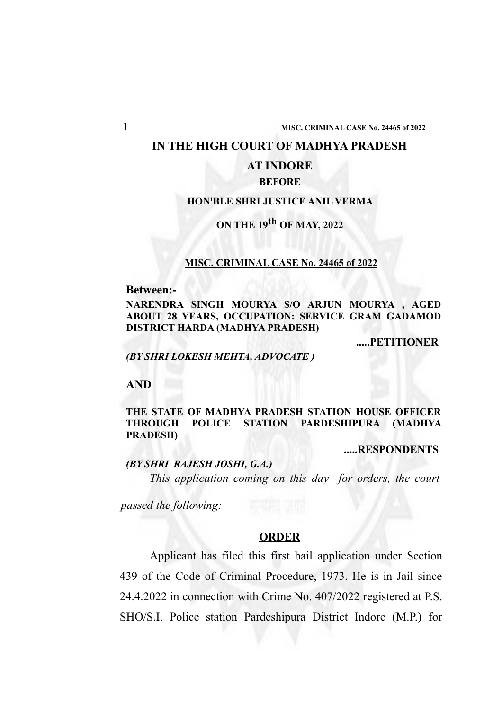#### **IN THE HIGH COURT OF MADHYA PRADESH**

## **AT INDORE**

## **BEFORE**

### **HON'BLE SHRI JUSTICE ANIL VERMA**

# **ON THE 19th OF MAY, 2022**

### **MISC. CRIMINAL CASE No. 24465 of 2022**

#### **Between:-**

**NARENDRA SINGH MOURYA S/O ARJUN MOURYA , AGED ABOUT 28 YEARS, OCCUPATION: SERVICE GRAM GADAMOD DISTRICT HARDA (MADHYA PRADESH)**

**.....PETITIONER**

*(BY SHRI LOKESH MEHTA, ADVOCATE )*

#### **AND**

## **THE STATE OF MADHYA PRADESH STATION HOUSE OFFICER THROUGH POLICE STATION PARDESHIPURA (MADHYA PRADESH)**

**.....RESPONDENTS**

## *(BY SHRI RAJESH JOSHI, G.A.)*

*This application coming on this day for orders, the court*

*passed the following:*

#### **ORDER**

Applicant has filed this first bail application under Section 439 of the Code of Criminal Procedure, 1973. He is in Jail since 24.4.2022 in connection with Crime No. 407/2022 registered at P.S. SHO/S.I. Police station Pardeshipura District Indore (M.P.) for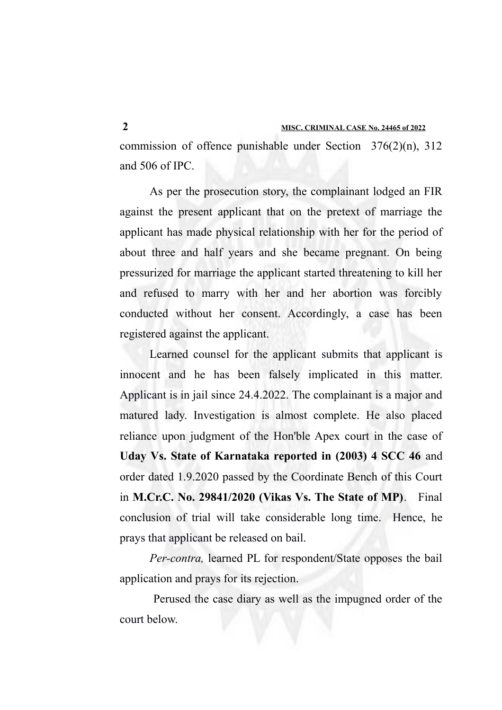commission of offence punishable under Section 376(2)(n), 312 and 506 of IPC.

As per the prosecution story, the complainant lodged an FIR against the present applicant that on the pretext of marriage the applicant has made physical relationship with her for the period of about three and half years and she became pregnant. On being pressurized for marriage the applicant started threatening to kill her and refused to marry with her and her abortion was forcibly conducted without her consent. Accordingly, a case has been registered against the applicant.

Learned counsel for the applicant submits that applicant is innocent and he has been falsely implicated in this matter. Applicant is in jail since 24.4.2022. The complainant is a major and matured lady. Investigation is almost complete. He also placed reliance upon judgment of the Hon'ble Apex court in the case of **Uday Vs. State of Karnataka reported in (2003) 4 SCC 46** and order dated 1.9.2020 passed by the Coordinate Bench of this Court in **M.Cr.C. No. 29841/2020 (Vikas Vs. The State of MP)**. Final conclusion of trial will take considerable long time. Hence, he prays that applicant be released on bail.

*Per-contra,* learned PL for respondent/State opposes the bail application and prays for its rejection.

 Perused the case diary as well as the impugned order of the court below.